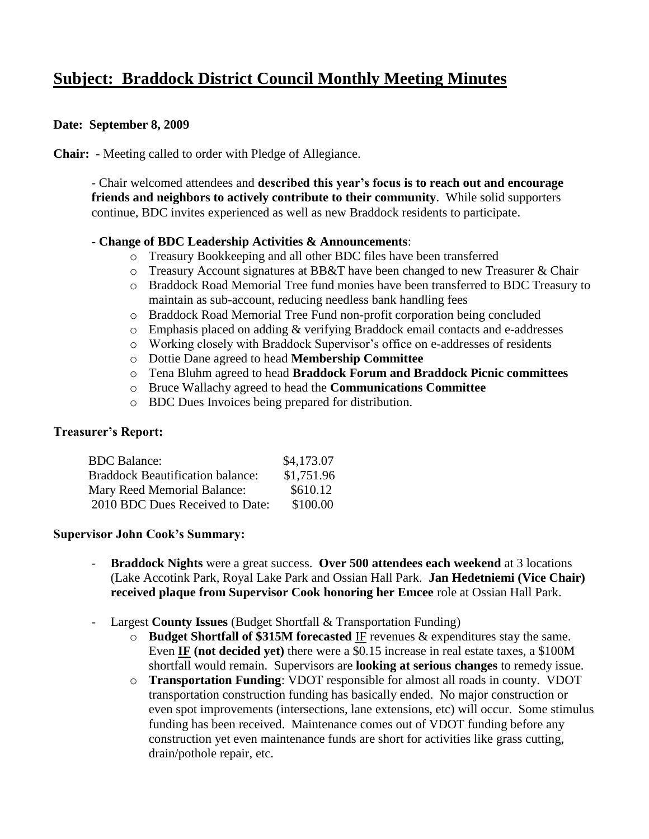# **Subject: Braddock District Council Monthly Meeting Minutes**

### **Date: September 8, 2009**

**Chair:** - Meeting called to order with Pledge of Allegiance.

- Chair welcomed attendees and **described this year's focus is to reach out and encourage friends and neighbors to actively contribute to their community**. While solid supporters continue, BDC invites experienced as well as new Braddock residents to participate.

#### - **Change of BDC Leadership Activities & Announcements**:

- o Treasury Bookkeeping and all other BDC files have been transferred
- o Treasury Account signatures at BB&T have been changed to new Treasurer & Chair
- o Braddock Road Memorial Tree fund monies have been transferred to BDC Treasury to maintain as sub-account, reducing needless bank handling fees
- o Braddock Road Memorial Tree Fund non-profit corporation being concluded
- o Emphasis placed on adding & verifying Braddock email contacts and e-addresses
- o Working closely with Braddock Supervisor's office on e-addresses of residents
- o Dottie Dane agreed to head **Membership Committee**
- o Tena Bluhm agreed to head **Braddock Forum and Braddock Picnic committees**
- o Bruce Wallachy agreed to head the **Communications Committee**
- o BDC Dues Invoices being prepared for distribution.

# **Treasurer's Report:**

| <b>BDC</b> Balance:                     | \$4,173.07 |
|-----------------------------------------|------------|
| <b>Braddock Beautification balance:</b> | \$1,751.96 |
| Mary Reed Memorial Balance:             | \$610.12   |
| 2010 BDC Dues Received to Date:         | \$100.00   |

#### **Supervisor John Cook's Summary:**

- **Braddock Nights** were a great success. **Over 500 attendees each weekend** at 3 locations (Lake Accotink Park, Royal Lake Park and Ossian Hall Park. **Jan Hedetniemi (Vice Chair) received plaque from Supervisor Cook honoring her Emcee** role at Ossian Hall Park.
- Largest **County Issues** (Budget Shortfall & Transportation Funding)
	- o **Budget Shortfall of \$315M forecasted** IF revenues & expenditures stay the same. Even **IF (not decided yet)** there were a \$0.15 increase in real estate taxes, a \$100M shortfall would remain. Supervisors are **looking at serious changes** to remedy issue.
	- o **Transportation Funding**: VDOT responsible for almost all roads in county. VDOT transportation construction funding has basically ended. No major construction or even spot improvements (intersections, lane extensions, etc) will occur. Some stimulus funding has been received. Maintenance comes out of VDOT funding before any construction yet even maintenance funds are short for activities like grass cutting, drain/pothole repair, etc.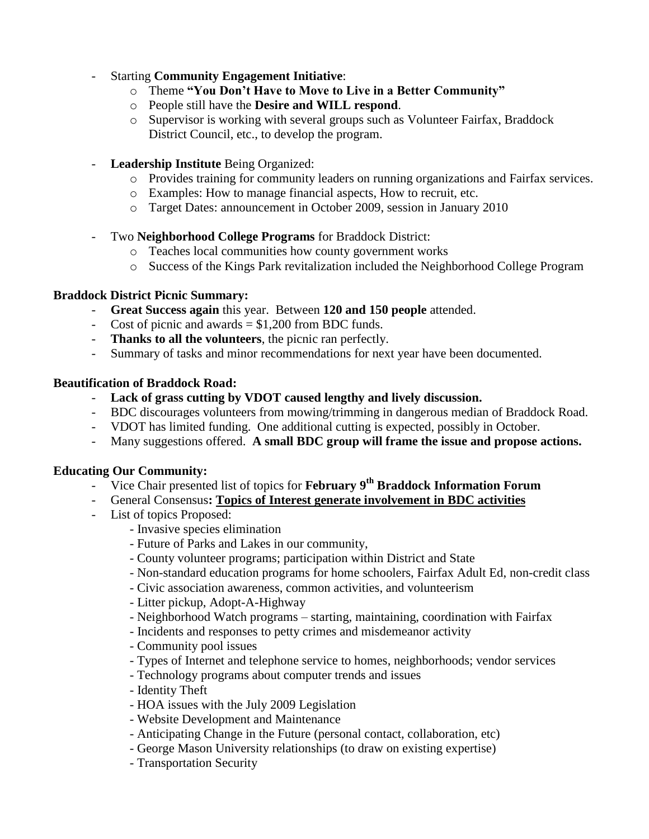### - Starting **Community Engagement Initiative**:

- o Theme **"You Don't Have to Move to Live in a Better Community"**
- o People still have the **Desire and WILL respond**.
- o Supervisor is working with several groups such as Volunteer Fairfax, Braddock District Council, etc., to develop the program.
- **Leadership Institute** Being Organized:
	- o Provides training for community leaders on running organizations and Fairfax services.
	- o Examples: How to manage financial aspects, How to recruit, etc.
	- o Target Dates: announcement in October 2009, session in January 2010
- Two **Neighborhood College Programs** for Braddock District:
	- o Teaches local communities how county government works
	- o Success of the Kings Park revitalization included the Neighborhood College Program

#### **Braddock District Picnic Summary:**

- **Great Success again** this year. Between **120 and 150 people** attended.
- Cost of picnic and awards  $= $1,200$  from BDC funds.
- **Thanks to all the volunteers**, the picnic ran perfectly.
- Summary of tasks and minor recommendations for next year have been documented.

#### **Beautification of Braddock Road:**

- **Lack of grass cutting by VDOT caused lengthy and lively discussion.**
- BDC discourages volunteers from mowing/trimming in dangerous median of Braddock Road.
- VDOT has limited funding. One additional cutting is expected, possibly in October.
- Many suggestions offered. **A small BDC group will frame the issue and propose actions.**

# **Educating Our Community:**

- Vice Chair presented list of topics for **February 9 th Braddock Information Forum**
- General Consensus**: Topics of Interest generate involvement in BDC activities**
- List of topics Proposed:
	- Invasive species elimination
	- Future of Parks and Lakes in our community,
	- County volunteer programs; participation within District and State
	- Non-standard education programs for home schoolers, Fairfax Adult Ed, non-credit class
	- Civic association awareness, common activities, and volunteerism
	- Litter pickup, Adopt-A-Highway
	- Neighborhood Watch programs starting, maintaining, coordination with Fairfax
	- Incidents and responses to petty crimes and misdemeanor activity
	- Community pool issues
	- Types of Internet and telephone service to homes, neighborhoods; vendor services
	- Technology programs about computer trends and issues
	- Identity Theft
	- HOA issues with the July 2009 Legislation
	- Website Development and Maintenance
	- Anticipating Change in the Future (personal contact, collaboration, etc)
	- George Mason University relationships (to draw on existing expertise)
	- Transportation Security